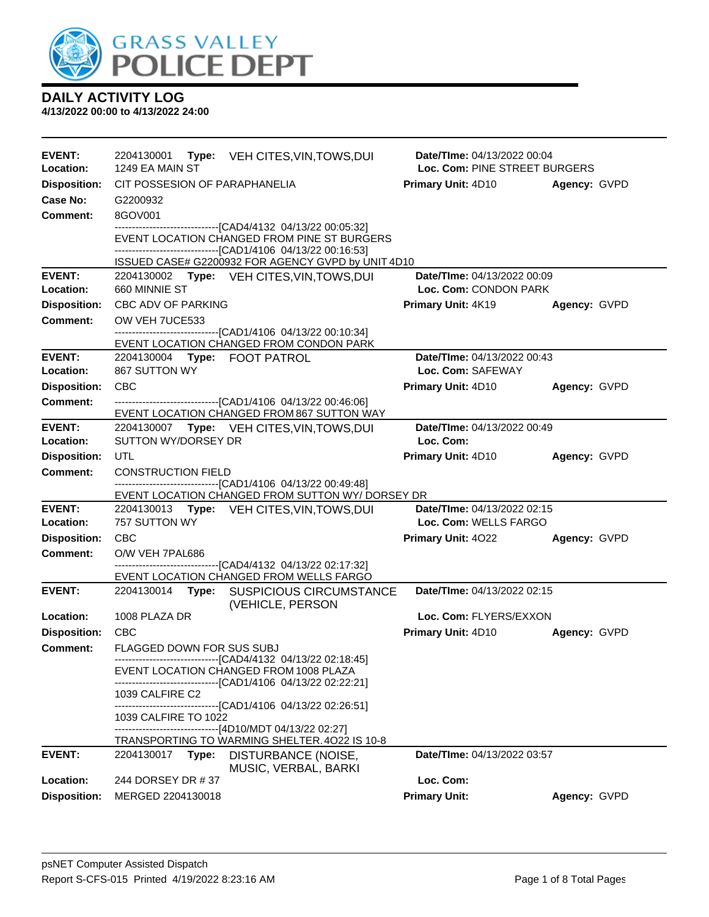

| EVENT:<br>Location: | 2204130001<br>Type: VEH CITES, VIN, TOWS, DUI<br>1249 EA MAIN ST                                                                                                             | Date/TIme: 04/13/2022 00:04<br>Loc. Com: PINE STREET BURGERS |              |  |
|---------------------|------------------------------------------------------------------------------------------------------------------------------------------------------------------------------|--------------------------------------------------------------|--------------|--|
| <b>Disposition:</b> | CIT POSSESION OF PARAPHANELIA                                                                                                                                                | Primary Unit: 4D10                                           | Agency: GVPD |  |
| <b>Case No:</b>     | G2200932                                                                                                                                                                     |                                                              |              |  |
| Comment:            | 8GOV001                                                                                                                                                                      |                                                              |              |  |
|                     | -------------------------------[CAD4/4132 04/13/22 00:05:32]<br>EVENT LOCATION CHANGED FROM PINE ST BURGERS<br>--------------------------------[CAD1/4106 04/13/22 00:16:53] |                                                              |              |  |
|                     | ISSUED CASE# G2200932 FOR AGENCY GVPD by UNIT 4D10                                                                                                                           |                                                              |              |  |
| <b>EVENT:</b>       | 2204130002 Type: VEH CITES, VIN, TOWS, DUI                                                                                                                                   | Date/TIme: 04/13/2022 00:09                                  |              |  |
| Location:           | 660 MINNIE ST                                                                                                                                                                | Loc. Com: CONDON PARK                                        |              |  |
| <b>Disposition:</b> | <b>CBC ADV OF PARKING</b>                                                                                                                                                    | Primary Unit: 4K19                                           | Agency: GVPD |  |
| <b>Comment:</b>     | OW VEH 7UCE533<br>--------------------------------[CAD1/4106 04/13/22 00:10:34]                                                                                              |                                                              |              |  |
|                     | EVENT LOCATION CHANGED FROM CONDON PARK                                                                                                                                      |                                                              |              |  |
| <b>EVENT:</b>       | 2204130004 Type: FOOT PATROL                                                                                                                                                 | Date/TIme: 04/13/2022 00:43                                  |              |  |
| Location:           | 867 SUTTON WY                                                                                                                                                                | Loc. Com: SAFEWAY                                            |              |  |
| <b>Disposition:</b> | <b>CBC</b>                                                                                                                                                                   | Primary Unit: 4D10                                           | Agency: GVPD |  |
| <b>Comment:</b>     | -------------------------------[CAD1/4106 04/13/22 00:46:06]<br>EVENT LOCATION CHANGED FROM 867 SUTTON WAY                                                                   |                                                              |              |  |
| <b>EVENT:</b>       | 2204130007 Type: VEH CITES, VIN, TOWS, DUI                                                                                                                                   | Date/TIme: 04/13/2022 00:49                                  |              |  |
| Location:           | SUTTON WY/DORSEY DR                                                                                                                                                          | Loc. Com:                                                    |              |  |
| <b>Disposition:</b> | UTL                                                                                                                                                                          | Primary Unit: 4D10                                           | Agency: GVPD |  |
| <b>Comment:</b>     | <b>CONSTRUCTION FIELD</b>                                                                                                                                                    |                                                              |              |  |
|                     | -------------------------------[CAD1/4106 04/13/22 00:49:48]<br>EVENT LOCATION CHANGED FROM SUTTON WY/ DORSEY DR                                                             |                                                              |              |  |
| <b>EVENT:</b>       | 2204130013 Type: VEH CITES, VIN, TOWS, DUI                                                                                                                                   | Date/TIme: 04/13/2022 02:15                                  |              |  |
| Location:           | 757 SUTTON WY                                                                                                                                                                | Loc. Com: WELLS FARGO                                        |              |  |
| <b>Disposition:</b> | <b>CBC</b>                                                                                                                                                                   | Primary Unit: 4022                                           | Agency: GVPD |  |
| <b>Comment:</b>     | O/W VEH 7PAL686                                                                                                                                                              |                                                              |              |  |
|                     | -------------------------------[CAD4/4132 04/13/22 02:17:32]<br>EVENT LOCATION CHANGED FROM WELLS FARGO                                                                      |                                                              |              |  |
| <b>EVENT:</b>       | 2204130014<br><b>SUSPICIOUS CIRCUMSTANCE</b><br>Type:<br>(VEHICLE, PERSON                                                                                                    | Date/TIme: 04/13/2022 02:15                                  |              |  |
| Location:           | 1008 PLAZA DR                                                                                                                                                                | Loc. Com: FLYERS/EXXON                                       |              |  |
| <b>Disposition:</b> | <b>CBC</b>                                                                                                                                                                   | Primary Unit: 4D10                                           | Agency: GVPD |  |
| <b>Comment:</b>     | FLAGGED DOWN FOR SUS SUBJ                                                                                                                                                    |                                                              |              |  |
|                     | -------------------------------[CAD4/4132 04/13/22 02:18:45]<br>EVENT LOCATION CHANGED FROM 1008 PLAZA<br>-----------------------[CAD1/4106_04/13/22 02:22:21]               |                                                              |              |  |
|                     | 1039 CALFIRE C2                                                                                                                                                              |                                                              |              |  |
|                     | -------------------------------[CAD1/4106 04/13/22 02:26:51]<br>1039 CALFIRE TO 1022                                                                                         |                                                              |              |  |
|                     | ------------------------------[4D10/MDT 04/13/22 02:27]                                                                                                                      |                                                              |              |  |
|                     | TRANSPORTING TO WARMING SHELTER. 4022 IS 10-8                                                                                                                                |                                                              |              |  |
| <b>EVENT:</b>       | 2204130017<br>Type:<br>DISTURBANCE (NOISE,<br>MUSIC, VERBAL, BARKI                                                                                                           | Date/TIme: 04/13/2022 03:57                                  |              |  |
| Location:           | 244 DORSEY DR #37                                                                                                                                                            | Loc. Com:                                                    |              |  |
| <b>Disposition:</b> | MERGED 2204130018                                                                                                                                                            | <b>Primary Unit:</b>                                         | Agency: GVPD |  |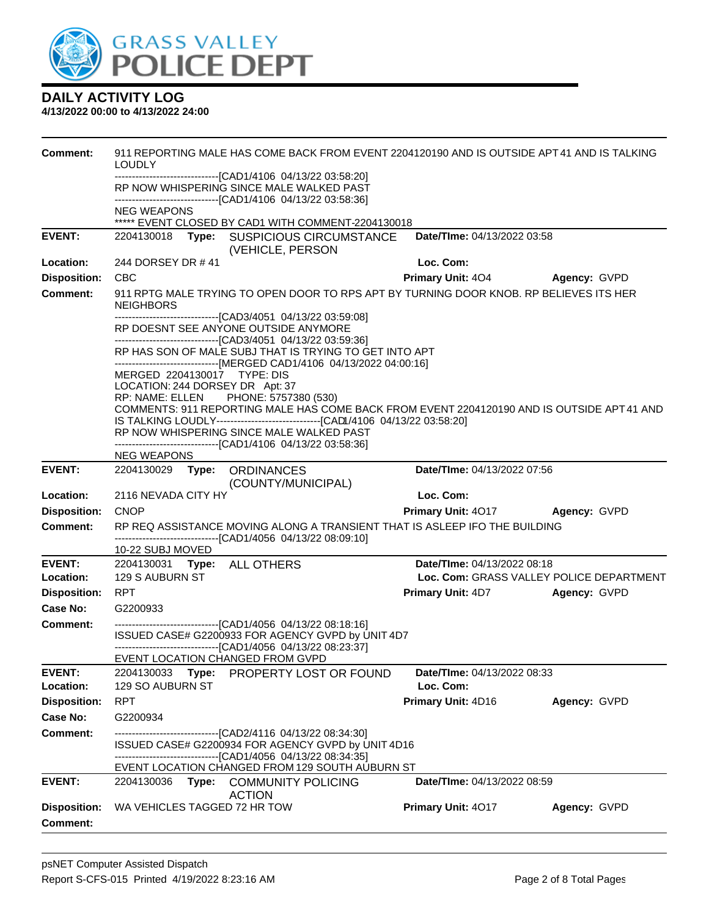

| <b>Comment:</b>     | LOUDLY                                    | 911 REPORTING MALE HAS COME BACK FROM EVENT 2204120190 AND IS OUTSIDE APT 41 AND IS TALKING                                                                                         |                                          |                     |
|---------------------|-------------------------------------------|-------------------------------------------------------------------------------------------------------------------------------------------------------------------------------------|------------------------------------------|---------------------|
|                     |                                           | -------------------------------[CAD1/4106 04/13/22 03:58:20]                                                                                                                        |                                          |                     |
|                     |                                           | RP NOW WHISPERING SINCE MALE WALKED PAST                                                                                                                                            |                                          |                     |
|                     | <b>NEG WEAPONS</b>                        | --------------------------------[CAD1/4106 04/13/22 03:58:36]                                                                                                                       |                                          |                     |
|                     |                                           | ***** EVENT CLOSED BY CAD1 WITH COMMENT-2204130018                                                                                                                                  |                                          |                     |
| <b>EVENT:</b>       |                                           | 2204130018 Type: SUSPICIOUS CIRCUMSTANCE<br>(VEHICLE, PERSON                                                                                                                        | Date/TIme: 04/13/2022 03:58              |                     |
| Location:           | 244 DORSEY DR #41                         |                                                                                                                                                                                     | Loc. Com:                                |                     |
| <b>Disposition:</b> | <b>CBC</b>                                |                                                                                                                                                                                     | <b>Primary Unit: 404</b>                 | <b>Agency: GVPD</b> |
| <b>Comment:</b>     | <b>NEIGHBORS</b>                          | 911 RPTG MALE TRYING TO OPEN DOOR TO RPS APT BY TURNING DOOR KNOB. RP BELIEVES ITS HER                                                                                              |                                          |                     |
|                     |                                           | ----------------------------------[CAD3/4051 04/13/22 03:59:08]<br>RP DOESNT SEE ANYONE OUTSIDE ANYMORE<br>-------------------------------[CAD3/4051 04/13/22 03:59:36]             |                                          |                     |
|                     |                                           | RP HAS SON OF MALE SUBJ THAT IS TRYING TO GET INTO APT                                                                                                                              |                                          |                     |
|                     | MERGED 2204130017 TYPE: DIS               | -------------------------------[MERGED CAD1/4106 04/13/2022 04:00:16]                                                                                                               |                                          |                     |
|                     | LOCATION: 244 DORSEY DR Apt: 37           |                                                                                                                                                                                     |                                          |                     |
|                     |                                           | RP: NAME: ELLEN PHONE: 5757380 (530)                                                                                                                                                |                                          |                     |
|                     |                                           | COMMENTS: 911 REPORTING MALE HAS COME BACK FROM EVENT 2204120190 AND IS OUTSIDE APT 41 AND<br>IS TALKING LOUDLY--------------------------------[CADI/4106 04/13/22 03:58:20]        |                                          |                     |
|                     |                                           | RP NOW WHISPERING SINCE MALE WALKED PAST                                                                                                                                            |                                          |                     |
|                     |                                           | --------------------------------[CAD1/4106 04/13/22 03:58:36]                                                                                                                       |                                          |                     |
|                     | <b>NEG WEAPONS</b>                        |                                                                                                                                                                                     |                                          |                     |
| <b>EVENT:</b>       |                                           | 2204130029 Type: ORDINANCES<br>(COUNTY/MUNICIPAL)                                                                                                                                   | Date/TIme: 04/13/2022 07:56              |                     |
| Location:           | 2116 NEVADA CITY HY                       |                                                                                                                                                                                     | Loc. Com:                                |                     |
| <b>Disposition:</b> | <b>CNOP</b>                               |                                                                                                                                                                                     | <b>Primary Unit: 4017</b>                | Agency: GVPD        |
| <b>Comment:</b>     |                                           | RP REQ ASSISTANCE MOVING ALONG A TRANSIENT THAT IS ASLEEP IFO THE BUILDING<br>-------------------------------[CAD1/4056 04/13/22 08:09:10]                                          |                                          |                     |
|                     | 10-22 SUBJ MOVED                          |                                                                                                                                                                                     |                                          |                     |
| <b>EVENT:</b>       | 2204130031 Type: ALL OTHERS               |                                                                                                                                                                                     | Date/TIme: 04/13/2022 08:18              |                     |
| Location:           | 129 S AUBURN ST                           |                                                                                                                                                                                     | Loc. Com: GRASS VALLEY POLICE DEPARTMENT |                     |
| <b>Disposition:</b> | <b>RPT</b>                                |                                                                                                                                                                                     | <b>Primary Unit: 4D7</b>                 | Agency: GVPD        |
| Case No:            | G2200933                                  |                                                                                                                                                                                     |                                          |                     |
| <b>Comment:</b>     |                                           | ---------------------------------[CAD1/4056 04/13/22 08:18:16]<br>ISSUED CASE# G2200933 FOR AGENCY GVPD by UNIT 4D7<br>-------------------------------[CAD1/4056 04/13/22 08:23:37] |                                          |                     |
|                     |                                           | EVENT LOCATION CHANGED FROM GVPD                                                                                                                                                    |                                          |                     |
| <b>EVENT:</b>       |                                           | 2204130033 Type: PROPERTY LOST OR FOUND                                                                                                                                             | Date/TIme: 04/13/2022 08:33              |                     |
| Location:           | 129 SO AUBURN ST                          |                                                                                                                                                                                     | Loc. Com:                                |                     |
| <b>Disposition:</b> | <b>RPT</b>                                |                                                                                                                                                                                     | Primary Unit: 4D16                       | Agency: GVPD        |
| <b>Case No:</b>     | G2200934                                  |                                                                                                                                                                                     |                                          |                     |
| <b>Comment:</b>     |                                           | ------------------------------[CAD2/4116_04/13/22_08:34:30]<br>ISSUED CASE# G2200934 FOR AGENCY GVPD by UNIT 4D16<br>--------------------------------[CAD1/4056 04/13/22 08:34:35]  |                                          |                     |
|                     |                                           | EVENT LOCATION CHANGED FROM 129 SOUTH AUBURN ST                                                                                                                                     |                                          |                     |
| <b>EVENT:</b>       |                                           | 2204130036 Type: COMMUNITY POLICING<br><b>ACTION</b>                                                                                                                                | Date/TIme: 04/13/2022 08:59              |                     |
| <b>Comment:</b>     | Disposition: WA VEHICLES TAGGED 72 HR TOW |                                                                                                                                                                                     | Primary Unit: 4017                       | Agency: GVPD        |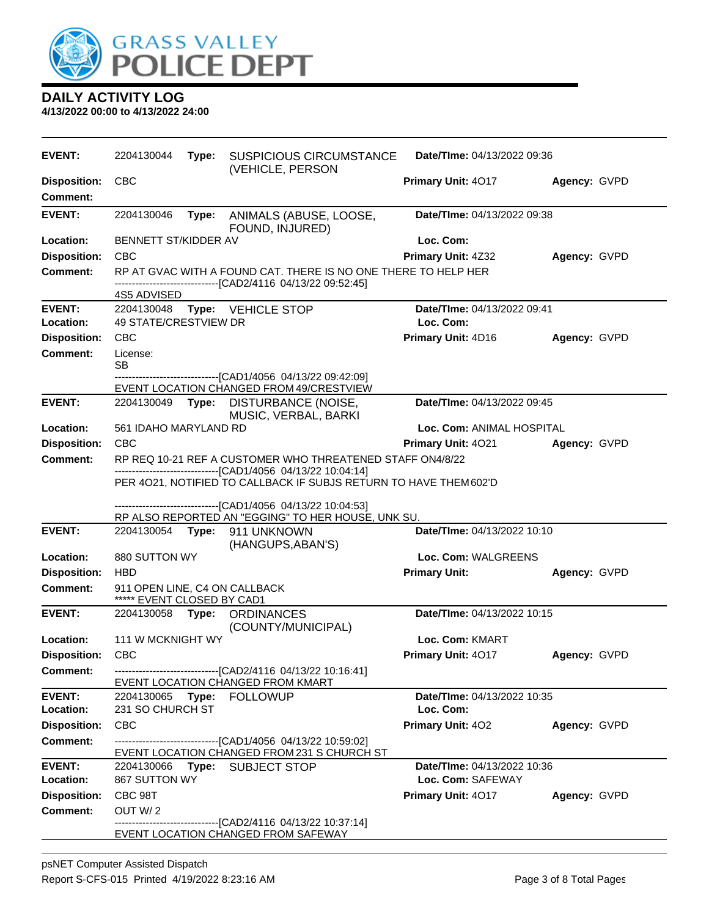

| <b>EVENT:</b>                          | 2204130044                                                  | Type: | <b>SUSPICIOUS CIRCUMSTANCE</b><br>(VEHICLE, PERSON                                                                               | Date/TIme: 04/13/2022 09:36              |              |
|----------------------------------------|-------------------------------------------------------------|-------|----------------------------------------------------------------------------------------------------------------------------------|------------------------------------------|--------------|
| <b>Disposition:</b><br><b>Comment:</b> | <b>CBC</b>                                                  |       |                                                                                                                                  | Primary Unit: 4017                       | Agency: GVPD |
| <b>EVENT:</b>                          | 2204130046                                                  | Type: | ANIMALS (ABUSE, LOOSE,<br>FOUND, INJURED)                                                                                        | Date/TIme: 04/13/2022 09:38              |              |
| Location:                              | BENNETT ST/KIDDER AV                                        |       |                                                                                                                                  | Loc. Com:                                |              |
| <b>Disposition:</b>                    | <b>CBC</b>                                                  |       |                                                                                                                                  | Primary Unit: 4Z32                       | Agency: GVPD |
| <b>Comment:</b>                        |                                                             |       | RP AT GVAC WITH A FOUND CAT. THERE IS NO ONE THERE TO HELP HER                                                                   |                                          |              |
|                                        | 4S5 ADVISED                                                 |       | -------------------------------[CAD2/4116 04/13/22 09:52:45]                                                                     |                                          |              |
| <b>EVENT:</b>                          |                                                             |       | 2204130048 Type: VEHICLE STOP                                                                                                    | Date/TIme: 04/13/2022 09:41              |              |
| Location:                              | 49 STATE/CRESTVIEW DR                                       |       |                                                                                                                                  | Loc. Com:                                |              |
| <b>Disposition:</b>                    | <b>CBC</b>                                                  |       |                                                                                                                                  | Primary Unit: 4D16                       | Agency: GVPD |
| <b>Comment:</b>                        | License:<br>SВ                                              |       |                                                                                                                                  |                                          |              |
|                                        |                                                             |       | -------------------------[CAD1/4056_04/13/22_09:42:09]<br>EVENT LOCATION CHANGED FROM 49/CRESTVIEW                               |                                          |              |
| <b>EVENT:</b>                          | 2204130049                                                  | Type: | DISTURBANCE (NOISE,<br>MUSIC, VERBAL, BARKI                                                                                      | Date/TIme: 04/13/2022 09:45              |              |
| Location:                              | 561 IDAHO MARYLAND RD                                       |       |                                                                                                                                  | Loc. Com: ANIMAL HOSPITAL                |              |
| <b>Disposition:</b>                    | <b>CBC</b>                                                  |       |                                                                                                                                  | <b>Primary Unit: 4021</b>                | Agency: GVPD |
| <b>Comment:</b>                        |                                                             |       | RP REQ 10-21 REF A CUSTOMER WHO THREATENED STAFF ON4/8/22                                                                        |                                          |              |
|                                        |                                                             |       | -------------------------------[CAD1/4056 04/13/22 10:04:14]<br>PER 4021, NOTIFIED TO CALLBACK IF SUBJS RETURN TO HAVE THEM602'D |                                          |              |
|                                        |                                                             |       |                                                                                                                                  |                                          |              |
|                                        |                                                             |       | -------------------------------[CAD1/4056 04/13/22 10:04:53]<br>RP ALSO REPORTED AN "EGGING" TO HER HOUSE, UNK SU.               |                                          |              |
| <b>EVENT:</b>                          |                                                             |       | 2204130054 Type: 911 UNKNOWN                                                                                                     | Date/TIme: 04/13/2022 10:10              |              |
|                                        |                                                             |       | (HANGUPS, ABAN'S)                                                                                                                |                                          |              |
| Location:                              | 880 SUTTON WY                                               |       |                                                                                                                                  | Loc. Com: WALGREENS                      |              |
| <b>Disposition:</b>                    | <b>HBD</b>                                                  |       |                                                                                                                                  | <b>Primary Unit:</b>                     | Agency: GVPD |
| Comment:                               | 911 OPEN LINE, C4 ON CALLBACK<br>***** EVENT CLOSED BY CAD1 |       |                                                                                                                                  |                                          |              |
| <b>EVENT:</b>                          |                                                             |       | 2204130058 Type: ORDINANCES<br>(COUNTY/MUNICIPAL)                                                                                | Date/TIme: 04/13/2022 10:15              |              |
| Location:                              | 111 W MCKNIGHT WY                                           |       |                                                                                                                                  | Loc. Com: KMART                          |              |
| <b>Disposition:</b>                    | <b>CBC</b>                                                  |       |                                                                                                                                  | Primary Unit: 4017                       | Agency: GVPD |
| <b>Comment:</b>                        |                                                             |       | -------------------------------[CAD2/4116 04/13/22 10:16:41]                                                                     |                                          |              |
|                                        |                                                             |       | EVENT LOCATION CHANGED FROM KMART                                                                                                |                                          |              |
| <b>EVENT:</b><br>Location:             | 231 SO CHURCH ST                                            |       | 2204130065 Type: FOLLOWUP                                                                                                        | Date/TIme: 04/13/2022 10:35<br>Loc. Com: |              |
| <b>Disposition:</b>                    | <b>CBC</b>                                                  |       |                                                                                                                                  | Primary Unit: 402                        | Agency: GVPD |
| <b>Comment:</b>                        |                                                             |       | -------------------------------[CAD1/4056 04/13/22 10:59:02]                                                                     |                                          |              |
|                                        |                                                             |       | EVENT LOCATION CHANGED FROM 231 S CHURCH ST                                                                                      |                                          |              |
| <b>EVENT:</b>                          |                                                             |       | 2204130066 Type: SUBJECT STOP                                                                                                    | Date/TIme: 04/13/2022 10:36              |              |
| Location:                              | 867 SUTTON WY                                               |       |                                                                                                                                  | Loc. Com: SAFEWAY                        |              |
| <b>Disposition:</b>                    | CBC 98T                                                     |       |                                                                                                                                  | Primary Unit: 4017                       | Agency: GVPD |
| <b>Comment:</b>                        | OUT W/2                                                     |       | ------------------------[CAD2/4116 04/13/22 10:37:14]                                                                            |                                          |              |
|                                        |                                                             |       | EVENT LOCATION CHANGED FROM SAFEWAY                                                                                              |                                          |              |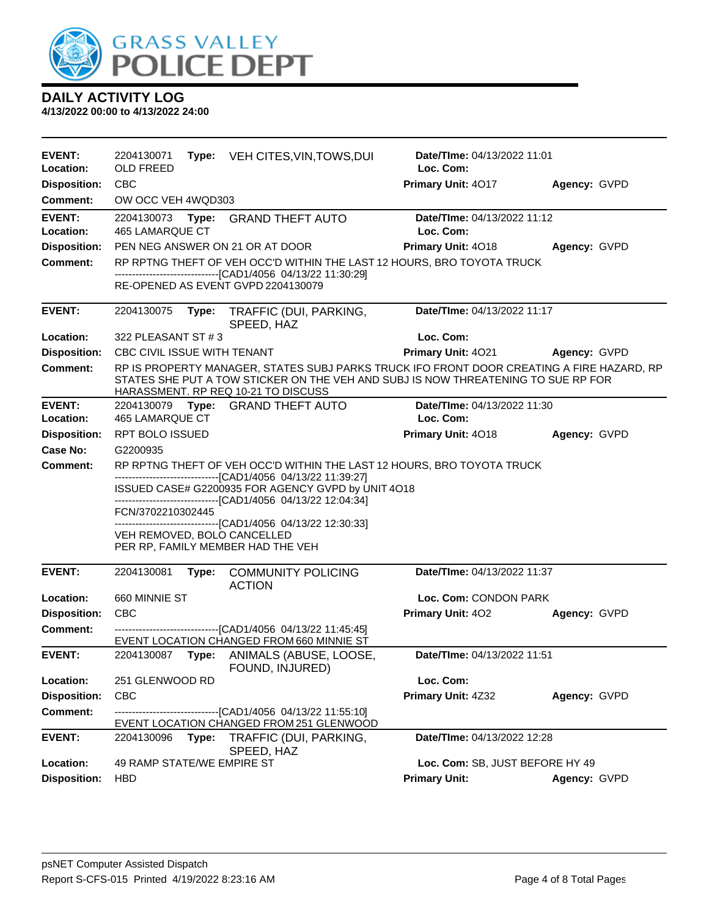

| <b>EVENT:</b><br>Location: | 2204130071<br><b>OLD FREED</b>                                                                                                         |       | Type: VEH CITES, VIN, TOWS, DUI                                                                                                                                                                                       | Date/TIme: 04/13/2022 11:01<br>Loc. Com: |              |
|----------------------------|----------------------------------------------------------------------------------------------------------------------------------------|-------|-----------------------------------------------------------------------------------------------------------------------------------------------------------------------------------------------------------------------|------------------------------------------|--------------|
| <b>Disposition:</b>        | CBC                                                                                                                                    |       |                                                                                                                                                                                                                       | Primary Unit: 4017                       | Agency: GVPD |
| Comment:                   | OW OCC VEH 4WQD303                                                                                                                     |       |                                                                                                                                                                                                                       |                                          |              |
| <b>EVENT:</b><br>Location: | 2204130073<br><b>465 LAMARQUE CT</b>                                                                                                   |       | Type: GRAND THEFT AUTO                                                                                                                                                                                                | Date/TIme: 04/13/2022 11:12<br>Loc. Com: |              |
| <b>Disposition:</b>        |                                                                                                                                        |       | PEN NEG ANSWER ON 21 OR AT DOOR                                                                                                                                                                                       | Primary Unit: 4018                       | Agency: GVPD |
| <b>Comment:</b>            |                                                                                                                                        |       | RP RPTNG THEFT OF VEH OCC'D WITHIN THE LAST 12 HOURS, BRO TOYOTA TRUCK                                                                                                                                                |                                          |              |
|                            |                                                                                                                                        |       | --------------------------------[CAD1/4056 04/13/22 11:30:29]<br>RE-OPENED AS EVENT GVPD 2204130079                                                                                                                   |                                          |              |
| <b>EVENT:</b>              | 2204130075                                                                                                                             | Type: | TRAFFIC (DUI, PARKING,<br>SPEED, HAZ                                                                                                                                                                                  | Date/TIme: 04/13/2022 11:17              |              |
| Location:                  | 322 PLEASANT ST #3                                                                                                                     |       |                                                                                                                                                                                                                       | Loc. Com:                                |              |
| <b>Disposition:</b>        | CBC CIVIL ISSUE WITH TENANT                                                                                                            |       |                                                                                                                                                                                                                       | <b>Primary Unit: 4021</b>                | Agency: GVPD |
| <b>Comment:</b>            |                                                                                                                                        |       | RP IS PROPERTY MANAGER, STATES SUBJ PARKS TRUCK IFO FRONT DOOR CREATING A FIRE HAZARD, RP<br>STATES SHE PUT A TOW STICKER ON THE VEH AND SUBJ IS NOW THREATENING TO SUE RP FOR<br>HARASSMENT. RP REQ 10-21 TO DISCUSS |                                          |              |
| <b>EVENT:</b>              |                                                                                                                                        |       | 2204130079 Type: GRAND THEFT AUTO                                                                                                                                                                                     | Date/TIme: 04/13/2022 11:30              |              |
| Location:                  | <b>465 LAMARQUE CT</b>                                                                                                                 |       |                                                                                                                                                                                                                       | Loc. Com:                                |              |
| <b>Disposition:</b>        | RPT BOLO ISSUED                                                                                                                        |       |                                                                                                                                                                                                                       | Primary Unit: 4018                       | Agency: GVPD |
| <b>Case No:</b>            | G2200935                                                                                                                               |       |                                                                                                                                                                                                                       |                                          |              |
| Comment:                   | RP RPTNG THEFT OF VEH OCC'D WITHIN THE LAST 12 HOURS, BRO TOYOTA TRUCK<br>-------------------------------[CAD1/4056 04/13/22 11:39:27] |       |                                                                                                                                                                                                                       |                                          |              |
|                            |                                                                                                                                        |       | ISSUED CASE# G2200935 FOR AGENCY GVPD by UNIT 4O18                                                                                                                                                                    |                                          |              |
|                            |                                                                                                                                        |       | -------------------------------[CAD1/4056 04/13/22 12:04:34]                                                                                                                                                          |                                          |              |
|                            | FCN/3702210302445                                                                                                                      |       | --------------------------------[CAD1/4056 04/13/22 12:30:33]                                                                                                                                                         |                                          |              |
|                            | VEH REMOVED, BOLO CANCELLED                                                                                                            |       |                                                                                                                                                                                                                       |                                          |              |
|                            |                                                                                                                                        |       | PER RP, FAMILY MEMBER HAD THE VEH                                                                                                                                                                                     |                                          |              |
| <b>EVENT:</b>              | 2204130081                                                                                                                             | Type: | <b>COMMUNITY POLICING</b><br><b>ACTION</b>                                                                                                                                                                            | Date/TIme: 04/13/2022 11:37              |              |
| Location:                  | 660 MINNIE ST                                                                                                                          |       |                                                                                                                                                                                                                       | Loc. Com: CONDON PARK                    |              |
| <b>Disposition:</b>        | <b>CBC</b>                                                                                                                             |       |                                                                                                                                                                                                                       | <b>Primary Unit: 402</b>                 | Agency: GVPD |
| Comment:                   |                                                                                                                                        |       | ---------------------------------[CAD1/4056 04/13/22 11:45:45]<br>EVENT LOCATION CHANGED FROM 660 MINNIE ST                                                                                                           |                                          |              |
| <b>EVENT:</b>              | 2204130087                                                                                                                             |       | Type: ANIMALS (ABUSE, LOOSE,<br>FOUND, INJURED)                                                                                                                                                                       | Date/TIme: 04/13/2022 11:51              |              |
| Location:                  | 251 GLENWOOD RD                                                                                                                        |       |                                                                                                                                                                                                                       | Loc. Com:                                |              |
| <b>Disposition:</b>        | <b>CBC</b>                                                                                                                             |       |                                                                                                                                                                                                                       | Primary Unit: 4Z32                       | Agency: GVPD |
| <b>Comment:</b>            |                                                                                                                                        |       | ------------------------[CAD1/4056_04/13/22 11:55:10]<br>EVENT LOCATION CHANGED FROM 251 GLENWOOD                                                                                                                     |                                          |              |
| <b>EVENT:</b>              | 2204130096                                                                                                                             | Type: | TRAFFIC (DUI, PARKING,<br>SPEED, HAZ                                                                                                                                                                                  | Date/TIme: 04/13/2022 12:28              |              |
| Location:                  | 49 RAMP STATE/WE EMPIRE ST                                                                                                             |       |                                                                                                                                                                                                                       | Loc. Com: SB, JUST BEFORE HY 49          |              |
| <b>Disposition:</b>        | <b>HBD</b>                                                                                                                             |       |                                                                                                                                                                                                                       | <b>Primary Unit:</b>                     | Agency: GVPD |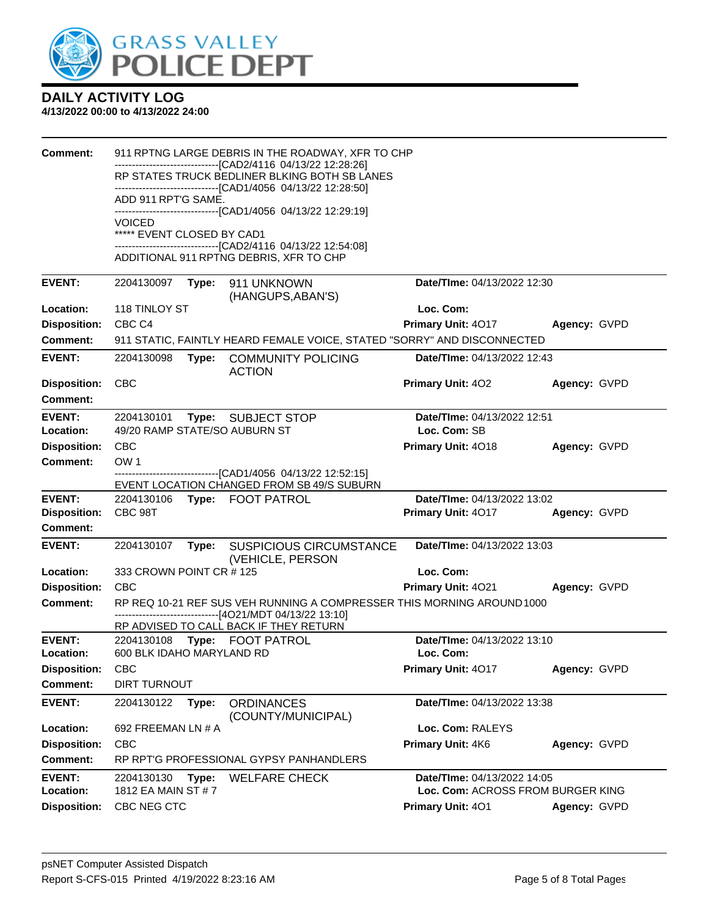

| Comment:            | ADD 911 RPT'G SAME.           | 911 RPTNG LARGE DEBRIS IN THE ROADWAY, XFR TO CHP<br>------------------------------[CAD2/4116_04/13/22 12:28:26]<br>RP STATES TRUCK BEDLINER BLKING BOTH SB LANES<br>-------------------------------[CAD1/4056 04/13/22 12:28:50] |                                    |              |
|---------------------|-------------------------------|-----------------------------------------------------------------------------------------------------------------------------------------------------------------------------------------------------------------------------------|------------------------------------|--------------|
|                     | <b>VOICED</b>                 | ---------------------------------[CAD1/4056 04/13/22 12:29:19]                                                                                                                                                                    |                                    |              |
|                     | ***** EVENT CLOSED BY CAD1    |                                                                                                                                                                                                                                   |                                    |              |
|                     |                               | ------------------------[CAD2/4116 04/13/22 12:54:08]                                                                                                                                                                             |                                    |              |
|                     |                               | ADDITIONAL 911 RPTNG DEBRIS, XFR TO CHP                                                                                                                                                                                           |                                    |              |
| <b>EVENT:</b>       | 2204130097<br>Type:           | 911 UNKNOWN<br>(HANGUPS, ABAN'S)                                                                                                                                                                                                  | Date/TIme: 04/13/2022 12:30        |              |
| Location:           | 118 TINLOY ST                 |                                                                                                                                                                                                                                   | Loc. Com:                          |              |
| <b>Disposition:</b> | CBC <sub>C4</sub>             |                                                                                                                                                                                                                                   | Primary Unit: 4017                 | Agency: GVPD |
| <b>Comment:</b>     |                               | 911 STATIC, FAINTLY HEARD FEMALE VOICE, STATED "SORRY" AND DISCONNECTED                                                                                                                                                           |                                    |              |
| <b>EVENT:</b>       | 2204130098<br>Type:           | <b>COMMUNITY POLICING</b><br><b>ACTION</b>                                                                                                                                                                                        | Date/TIme: 04/13/2022 12:43        |              |
| <b>Disposition:</b> | <b>CBC</b>                    |                                                                                                                                                                                                                                   | Primary Unit: 402                  | Agency: GVPD |
| <b>Comment:</b>     |                               |                                                                                                                                                                                                                                   |                                    |              |
| <b>EVENT:</b>       | 2204130101                    | Type: SUBJECT STOP                                                                                                                                                                                                                | Date/TIme: 04/13/2022 12:51        |              |
| Location:           | 49/20 RAMP STATE/SO AUBURN ST |                                                                                                                                                                                                                                   | Loc. Com: SB                       |              |
| <b>Disposition:</b> | <b>CBC</b>                    |                                                                                                                                                                                                                                   | Primary Unit: 4018                 | Agency: GVPD |
| Comment:            | OW <sub>1</sub>               |                                                                                                                                                                                                                                   |                                    |              |
|                     |                               | -------------------------------[CAD1/4056_04/13/22 12:52:15]<br>EVENT LOCATION CHANGED FROM SB 49/S SUBURN                                                                                                                        |                                    |              |
| <b>EVENT:</b>       | 2204130106                    | Type: FOOT PATROL                                                                                                                                                                                                                 | <b>Date/TIme: 04/13/2022 13:02</b> |              |
| <b>Disposition:</b> | CBC 98T                       |                                                                                                                                                                                                                                   | Primary Unit: 4017                 | Agency: GVPD |
| Comment:            |                               |                                                                                                                                                                                                                                   |                                    |              |
| <b>EVENT:</b>       | 2204130107<br>Type:           | <b>SUSPICIOUS CIRCUMSTANCE</b><br>(VEHICLE, PERSON                                                                                                                                                                                | Date/TIme: 04/13/2022 13:03        |              |
| <b>Location:</b>    | 333 CROWN POINT CR #125       |                                                                                                                                                                                                                                   | Loc. Com:                          |              |
| <b>Disposition:</b> | <b>CBC</b>                    |                                                                                                                                                                                                                                   | <b>Primary Unit: 4021</b>          | Agency: GVPD |
| <b>Comment:</b>     |                               | RP REQ 10-21 REF SUS VEH RUNNING A COMPRESSER THIS MORNING AROUND 1000<br>------------------------------[4O21/MDT 04/13/22 13:10]<br>RP ADVISED TO CALL BACK IF THEY RETURN                                                       |                                    |              |
| <b>EVENT:</b>       | 2204130108                    | Type: FOOT PATROL                                                                                                                                                                                                                 | Date/TIme: 04/13/2022 13:10        |              |
| Location:           | 600 BLK IDAHO MARYLAND RD     |                                                                                                                                                                                                                                   | Loc. Com:                          |              |
| <b>Disposition:</b> | <b>CBC</b>                    |                                                                                                                                                                                                                                   | Primary Unit: 4017                 | Agency: GVPD |
| <b>Comment:</b>     | <b>DIRT TURNOUT</b>           |                                                                                                                                                                                                                                   |                                    |              |
| <b>EVENT:</b>       | 2204130122<br>Type:           | <b>ORDINANCES</b><br>(COUNTY/MUNICIPAL)                                                                                                                                                                                           | Date/TIme: 04/13/2022 13:38        |              |
| Location:           | 692 FREEMAN LN # A            |                                                                                                                                                                                                                                   | Loc. Com: RALEYS                   |              |
| <b>Disposition:</b> | <b>CBC</b>                    |                                                                                                                                                                                                                                   | Primary Unit: 4K6                  | Agency: GVPD |
| <b>Comment:</b>     |                               | RP RPT'G PROFESSIONAL GYPSY PANHANDLERS                                                                                                                                                                                           |                                    |              |
| <b>EVENT:</b>       | 2204130130<br>Type:           | <b>WELFARE CHECK</b>                                                                                                                                                                                                              | Date/TIme: 04/13/2022 14:05        |              |
| Location:           | 1812 EA MAIN ST # 7           |                                                                                                                                                                                                                                   | Loc. Com: ACROSS FROM BURGER KING  |              |
| <b>Disposition:</b> | CBC NEG CTC                   |                                                                                                                                                                                                                                   | Primary Unit: 401                  | Agency: GVPD |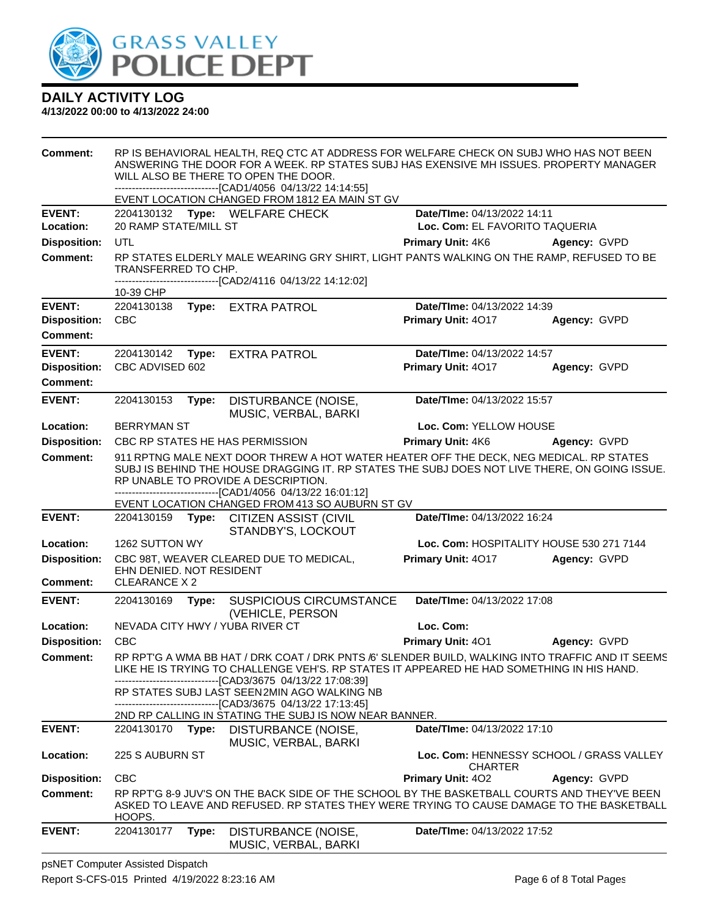

#### **4/13/2022 00:00 to 4/13/2022 24:00**

| <b>Comment:</b>     |                          |       | RP IS BEHAVIORAL HEALTH, REQ CTC AT ADDRESS FOR WELFARE CHECK ON SUBJ WHO HAS NOT BEEN<br>ANSWERING THE DOOR FOR A WEEK. RP STATES SUBJ HAS EXENSIVE MH ISSUES. PROPERTY MANAGER<br>WILL ALSO BE THERE TO OPEN THE DOOR.<br>------------------------------[CAD1/4056 04/13/22 14:14:55] |                                          |                                          |
|---------------------|--------------------------|-------|-----------------------------------------------------------------------------------------------------------------------------------------------------------------------------------------------------------------------------------------------------------------------------------------|------------------------------------------|------------------------------------------|
|                     |                          |       | EVENT LOCATION CHANGED FROM 1812 EA MAIN ST GV                                                                                                                                                                                                                                          |                                          |                                          |
| <b>EVENT:</b>       |                          |       | 2204130132 Type: WELFARE CHECK                                                                                                                                                                                                                                                          | Date/TIme: 04/13/2022 14:11              |                                          |
| Location:           | 20 RAMP STATE/MILL ST    |       |                                                                                                                                                                                                                                                                                         | Loc. Com: EL FAVORITO TAQUERIA           |                                          |
| <b>Disposition:</b> | UTL                      |       |                                                                                                                                                                                                                                                                                         | Primary Unit: 4K6                        | Agency: GVPD                             |
| <b>Comment:</b>     |                          |       | RP STATES ELDERLY MALE WEARING GRY SHIRT, LIGHT PANTS WALKING ON THE RAMP, REFUSED TO BE                                                                                                                                                                                                |                                          |                                          |
|                     | TRANSFERRED TO CHP.      |       | --------------------------------[CAD2/4116 04/13/22 14:12:02]                                                                                                                                                                                                                           |                                          |                                          |
|                     | 10-39 CHP                |       |                                                                                                                                                                                                                                                                                         |                                          |                                          |
| <b>EVENT:</b>       | 2204130138               |       | Type: EXTRA PATROL                                                                                                                                                                                                                                                                      | Date/TIme: 04/13/2022 14:39              |                                          |
| <b>Disposition:</b> | <b>CBC</b>               |       |                                                                                                                                                                                                                                                                                         | Primary Unit: 4017                       | Agency: GVPD                             |
| <b>Comment:</b>     |                          |       |                                                                                                                                                                                                                                                                                         |                                          |                                          |
| <b>EVENT:</b>       | 2204130142               | Type: | <b>EXTRA PATROL</b>                                                                                                                                                                                                                                                                     | Date/TIme: 04/13/2022 14:57              |                                          |
| <b>Disposition:</b> | CBC ADVISED 602          |       |                                                                                                                                                                                                                                                                                         | Primary Unit: 4017                       | Agency: GVPD                             |
| <b>Comment:</b>     |                          |       |                                                                                                                                                                                                                                                                                         |                                          |                                          |
| <b>EVENT:</b>       | 2204130153               | Type: | DISTURBANCE (NOISE,<br>MUSIC, VERBAL, BARKI                                                                                                                                                                                                                                             | Date/TIme: 04/13/2022 15:57              |                                          |
| Location:           | <b>BERRYMAN ST</b>       |       |                                                                                                                                                                                                                                                                                         | Loc. Com: YELLOW HOUSE                   |                                          |
| <b>Disposition:</b> |                          |       | CBC RP STATES HE HAS PERMISSION                                                                                                                                                                                                                                                         | Primary Unit: 4K6                        | Agency: GVPD                             |
| Comment:            |                          |       | 911 RPTNG MALE NEXT DOOR THREW A HOT WATER HEATER OFF THE DECK, NEG MEDICAL. RP STATES                                                                                                                                                                                                  |                                          |                                          |
|                     |                          |       | SUBJ IS BEHIND THE HOUSE DRAGGING IT. RP STATES THE SUBJ DOES NOT LIVE THERE, ON GOING ISSUE.<br>RP UNABLE TO PROVIDE A DESCRIPTION.<br>-------------------------------[CAD1/4056 04/13/22 16:01:12]                                                                                    |                                          |                                          |
|                     |                          |       | EVENT LOCATION CHANGED FROM 413 SO AUBURN ST GV                                                                                                                                                                                                                                         |                                          |                                          |
| <b>EVENT:</b>       |                          |       | 2204130159 Type: CITIZEN ASSIST (CIVIL<br>STANDBY'S, LOCKOUT                                                                                                                                                                                                                            | Date/TIme: 04/13/2022 16:24              |                                          |
| Location:           | 1262 SUTTON WY           |       |                                                                                                                                                                                                                                                                                         | Loc. Com: HOSPITALITY HOUSE 530 271 7144 |                                          |
| <b>Disposition:</b> |                          |       | CBC 98T, WEAVER CLEARED DUE TO MEDICAL,                                                                                                                                                                                                                                                 | Primary Unit: 4017                       | Agency: GVPD                             |
|                     | EHN DENIED, NOT RESIDENT |       |                                                                                                                                                                                                                                                                                         |                                          |                                          |
| <b>Comment:</b>     | CLEARANCE X 2            |       |                                                                                                                                                                                                                                                                                         |                                          |                                          |
| <b>EVENT:</b>       | 2204130169               | Type: | <b>SUSPICIOUS CIRCUMSTANCE</b><br>(VEHICLE, PERSON                                                                                                                                                                                                                                      | Date/TIme: 04/13/2022 17:08              |                                          |
| Location:           |                          |       | NEVADA CITY HWY / YUBA RIVER CT                                                                                                                                                                                                                                                         | Loc. Com:                                |                                          |
| <b>Disposition:</b> | <b>CBC</b>               |       |                                                                                                                                                                                                                                                                                         | <b>Primary Unit: 401</b>                 | Agency: GVPD                             |
| Comment:            |                          |       | RP RPT'G A WMA BB HAT / DRK COAT / DRK PNTS /6' SLENDER BUILD, WALKING INTO TRAFFIC AND IT SEEMS<br>LIKE HE IS TRYING TO CHALLENGE VEH'S. RP STATES IT APPEARED HE HAD SOMETHING IN HIS HAND.                                                                                           |                                          |                                          |
|                     |                          |       | -----------[CAD3/3675 04/13/22 17:08:39]<br>RP STATES SUBJ LAST SEEN2MIN AGO WALKING NB                                                                                                                                                                                                 |                                          |                                          |
|                     |                          |       | -------------------[CAD3/3675 04/13/22 17:13:45]<br>2ND RP CALLING IN STATING THE SUBJ IS NOW NEAR BANNER.                                                                                                                                                                              |                                          |                                          |
| <b>EVENT:</b>       | 2204130170               | Type: | DISTURBANCE (NOISE,                                                                                                                                                                                                                                                                     | Date/TIme: 04/13/2022 17:10              |                                          |
|                     |                          |       | MUSIC, VERBAL, BARKI                                                                                                                                                                                                                                                                    |                                          |                                          |
| Location:           | 225 S AUBURN ST          |       |                                                                                                                                                                                                                                                                                         | <b>CHARTER</b>                           | Loc. Com: HENNESSY SCHOOL / GRASS VALLEY |
| <b>Disposition:</b> | <b>CBC</b>               |       |                                                                                                                                                                                                                                                                                         | Primary Unit: 402                        | Agency: GVPD                             |
| <b>Comment:</b>     | HOOPS.                   |       | RP RPT'G 8-9 JUV'S ON THE BACK SIDE OF THE SCHOOL BY THE BASKETBALL COURTS AND THEY'VE BEEN<br>ASKED TO LEAVE AND REFUSED. RP STATES THEY WERE TRYING TO CAUSE DAMAGE TO THE BASKETBALL                                                                                                 |                                          |                                          |
| <b>EVENT:</b>       | 2204130177               | Type: | DISTURBANCE (NOISE,<br>MUSIC, VERBAL, BARKI                                                                                                                                                                                                                                             | <b>Date/Time: 04/13/2022 17:52</b>       |                                          |

psNET Computer Assisted Dispatch Report S-CFS-015 Printed 4/19/2022 8:23:16 AM Page 6 of 8 Total Pages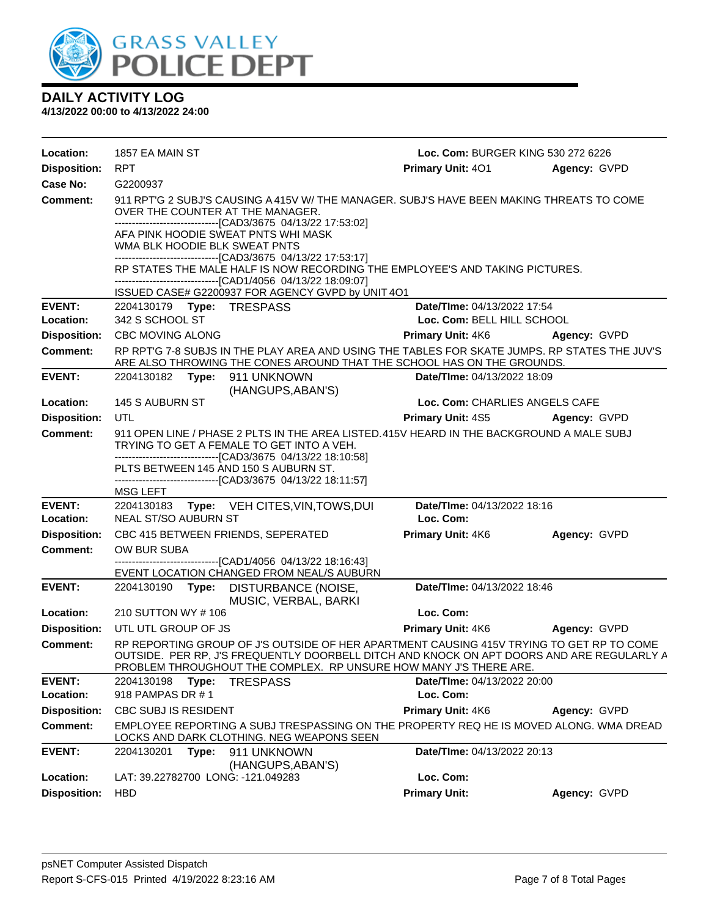

| Location:           | 1857 EA MAIN ST                                                                                                                                                                                                                                            | <b>Loc. Com: BURGER KING 530 272 6226</b> |              |  |
|---------------------|------------------------------------------------------------------------------------------------------------------------------------------------------------------------------------------------------------------------------------------------------------|-------------------------------------------|--------------|--|
| <b>Disposition:</b> | <b>RPT</b>                                                                                                                                                                                                                                                 | <b>Primary Unit: 401</b>                  | Agency: GVPD |  |
| Case No:            | G2200937                                                                                                                                                                                                                                                   |                                           |              |  |
| Comment:            | 911 RPT'G 2 SUBJ'S CAUSING A 415V W/ THE MANAGER. SUBJ'S HAVE BEEN MAKING THREATS TO COME<br>OVER THE COUNTER AT THE MANAGER.<br>--------------------------------[CAD3/3675 04/13/22 17:53:02]                                                             |                                           |              |  |
|                     | AFA PINK HOODIE SWEAT PNTS WHI MASK<br>WMA BLK HOODIE BLK SWEAT PNTS<br>--------------------------------[CAD3/3675 04/13/22 17:53:17]<br>RP STATES THE MALE HALF IS NOW RECORDING THE EMPLOYEE'S AND TAKING PICTURES.                                      |                                           |              |  |
|                     | -------------------------------[CAD1/4056 04/13/22 18:09:07]<br>ISSUED CASE# G2200937 FOR AGENCY GVPD by UNIT 4O1                                                                                                                                          |                                           |              |  |
| <b>EVENT:</b>       |                                                                                                                                                                                                                                                            | Date/TIme: 04/13/2022 17:54               |              |  |
| Location:           | 342 S SCHOOL ST                                                                                                                                                                                                                                            | Loc. Com: BELL HILL SCHOOL                |              |  |
| <b>Disposition:</b> | <b>CBC MOVING ALONG</b>                                                                                                                                                                                                                                    | <b>Primary Unit: 4K6</b>                  | Agency: GVPD |  |
| <b>Comment:</b>     | RP RPT'G 7-8 SUBJS IN THE PLAY AREA AND USING THE TABLES FOR SKATE JUMPS. RP STATES THE JUV'S<br>ARE ALSO THROWING THE CONES AROUND THAT THE SCHOOL HAS ON THE GROUNDS.                                                                                    |                                           |              |  |
| <b>EVENT:</b>       | 2204130182 Type: 911 UNKNOWN<br>(HANGUPS, ABAN'S)                                                                                                                                                                                                          | Date/TIme: 04/13/2022 18:09               |              |  |
| Location:           | 145 S AUBURN ST                                                                                                                                                                                                                                            | Loc. Com: CHARLIES ANGELS CAFE            |              |  |
| <b>Disposition:</b> | UTL                                                                                                                                                                                                                                                        | Primary Unit: 4S5 Agency: GVPD            |              |  |
| <b>Comment:</b>     | 911 OPEN LINE / PHASE 2 PLTS IN THE AREA LISTED.415V HEARD IN THE BACKGROUND A MALE SUBJ<br>TRYING TO GET A FEMALE TO GET INTO A VEH.<br>--------------------------------[CAD3/3675 04/13/22 18:10:58]                                                     |                                           |              |  |
|                     | PLTS BETWEEN 145 AND 150 S AUBURN ST.<br>-------------------------------[CAD3/3675_04/13/22_18:11:57]                                                                                                                                                      |                                           |              |  |
| <b>EVENT:</b>       | MSG LEFT<br>2204130183 Type: VEH CITES, VIN, TOWS, DUI                                                                                                                                                                                                     | Date/TIme: 04/13/2022 18:16               |              |  |
| Location:           | NEAL ST/SO AUBURN ST                                                                                                                                                                                                                                       | Loc. Com:                                 |              |  |
| <b>Disposition:</b> | CBC 415 BETWEEN FRIENDS, SEPERATED                                                                                                                                                                                                                         | Primary Unit: 4K6                         | Agency: GVPD |  |
| <b>Comment:</b>     | OW BUR SUBA<br>-------------------------[CAD1/4056 04/13/22 18:16:43]                                                                                                                                                                                      |                                           |              |  |
|                     | EVENT LOCATION CHANGED FROM NEAL/S AUBURN                                                                                                                                                                                                                  |                                           |              |  |
| <b>EVENT:</b>       | 2204130190 Type: DISTURBANCE (NOISE,<br>MUSIC, VERBAL, BARKI                                                                                                                                                                                               | Date/TIme: 04/13/2022 18:46               |              |  |
| Location:           | 210 SUTTON WY #106                                                                                                                                                                                                                                         | Loc. Com:                                 |              |  |
| <b>Disposition:</b> | UTL UTL GROUP OF JS                                                                                                                                                                                                                                        | <b>Primary Unit: 4K6</b>                  | Agency: GVPD |  |
| Comment:            | RP REPORTING GROUP OF J'S OUTSIDE OF HER APARTMENT CAUSING 415V TRYING TO GET RP TO COME<br>OUTSIDE. PER RP, J'S FREQUENTLY DOORBELL DITCH AND KNOCK ON APT DOORS AND ARE REGULARLY A<br>PROBLEM THROUGHOUT THE COMPLEX. RP UNSURE HOW MANY J'S THERE ARE. |                                           |              |  |
| <b>EVENT:</b>       | 2204130198<br>Type:<br><b>TRESPASS</b>                                                                                                                                                                                                                     | Date/TIme: 04/13/2022 20:00               |              |  |
| Location:           | 918 PAMPAS DR #1                                                                                                                                                                                                                                           | Loc. Com:                                 |              |  |
| <b>Disposition:</b> | CBC SUBJ IS RESIDENT                                                                                                                                                                                                                                       | Primary Unit: 4K6                         | Agency: GVPD |  |
| <b>Comment:</b>     | EMPLOYEE REPORTING A SUBJ TRESPASSING ON THE PROPERTY REQ HE IS MOVED ALONG. WMA DREAD<br>LOCKS AND DARK CLOTHING. NEG WEAPONS SEEN                                                                                                                        |                                           |              |  |
| <b>EVENT:</b>       | 2204130201<br>Type:<br>911 UNKNOWN<br>(HANGUPS, ABAN'S)                                                                                                                                                                                                    | Date/TIme: 04/13/2022 20:13               |              |  |
| Location:           | LAT: 39.22782700 LONG: -121.049283                                                                                                                                                                                                                         | Loc. Com:                                 |              |  |
| <b>Disposition:</b> | <b>HBD</b>                                                                                                                                                                                                                                                 | <b>Primary Unit:</b>                      | Agency: GVPD |  |